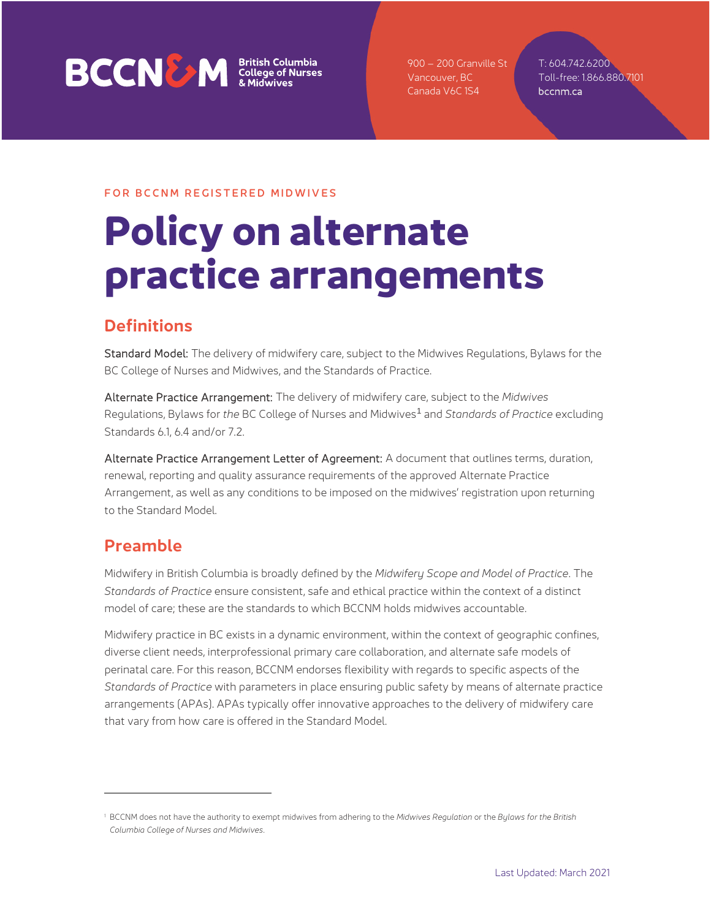# **BCCNEW** *Sritish Columbia*<br>*EXCONEW College of Nurses*

900 – 200 Granville St Vancouver, BC Canada V6C 1S4

T: 604.742.6200 Toll-free: 1.866.880.7101 bccnm.ca

### FOR BCCNM REGISTERED MIDWIVES

# **Policy on alternate practice arrangements**

## **Definitions**

Standard Model: The delivery of midwifery care, subject to the Midwives Regulations, Bylaws for the BC College of Nurses and Midwives, and the Standards of Practice.

Alternate Practice Arrangement: The delivery of midwifery care, subject to the *Midwives*  Regulations, Bylaws for *the* BC College of Nurses and Midwives[1](#page-0-0) and *Standards of Practice* excluding Standards 6.1, 6.4 and/or 7.2.

Alternate Practice Arrangement Letter of Agreement: A document that outlines terms, duration, renewal, reporting and quality assurance requirements of the approved Alternate Practice Arrangement, as well as any conditions to be imposed on the midwives' registration upon returning to the Standard Model.

## **Preamble**

Midwifery in British Columbia is broadly defined by the *Midwifery Scope and Model of Practice*. The *Standards of Practice* ensure consistent, safe and ethical practice within the context of a distinct model of care; these are the standards to which BCCNM holds midwives accountable.

Midwifery practice in BC exists in a dynamic environment, within the context of geographic confines, diverse client needs, interprofessional primary care collaboration, and alternate safe models of perinatal care. For this reason, BCCNM endorses flexibility with regards to specific aspects of the *Standards of Practice* with parameters in place ensuring public safety by means of alternate practice arrangements (APAs). APAs typically offer innovative approaches to the delivery of midwifery care that vary from how care is offered in the Standard Model.

<span id="page-0-0"></span><sup>1</sup> BCCNM does not have the authority to exempt midwives from adhering to the *Midwives Regulation* or the *Bylaws for the British Columbia College of Nurses and Midwives*.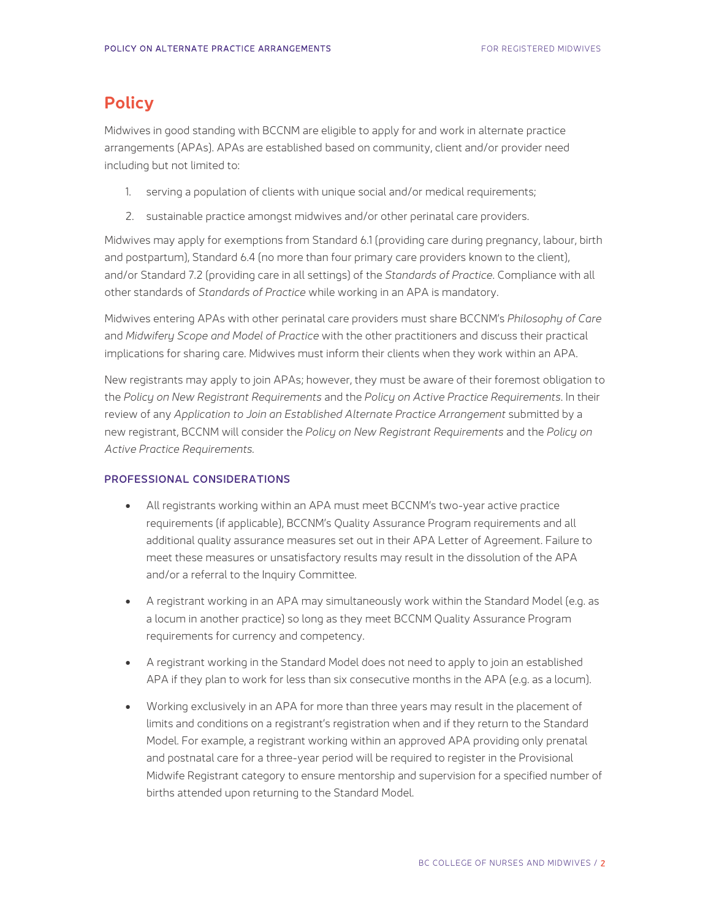## **Policy**

Midwives in good standing with BCCNM are eligible to apply for and work in alternate practice arrangements (APAs). APAs are established based on community, client and/or provider need including but not limited to:

- 1. serving a population of clients with unique social and/or medical requirements;
- 2. sustainable practice amongst midwives and/or other perinatal care providers.

Midwives may apply for exemptions from Standard 6.1 (providing care during pregnancy, labour, birth and postpartum), Standard 6.4 (no more than four primary care providers known to the client), and/or Standard 7.2 (providing care in all settings) of the *Standards of Practice*. Compliance with all other standards of *Standards of Practice* while working in an APA is mandatory.

Midwives entering APAs with other perinatal care providers must share BCCNM's *Philosophy of Care*  and *Midwifery Scope and Model of Practice* with the other practitioners and discuss their practical implications for sharing care. Midwives must inform their clients when they work within an APA.

New registrants may apply to join APAs; however, they must be aware of their foremost obligation to the *Policy on New Registrant Requirements* and the *Policy on Active Practice Requirements*. In their review of any Application to Join an Established Alternate Practice Arrangement submitted by a new registrant, BCCNM will consider the *Policy on New Registrant Requirements* and the *Policy on Active Practice Requirements.*

### PROFESSIONAL CONSIDERATIONS

- All registrants working within an APA must meet BCCNM's two-year active practice requirements (if applicable), BCCNM's Quality Assurance Program requirements and all additional quality assurance measures set out in their APA Letter of Agreement. Failure to meet these measures or unsatisfactory results may result in the dissolution of the APA and/or a referral to the Inquiry Committee.
- A registrant working in an APA may simultaneously work within the Standard Model (e.g. as a locum in another practice) so long as they meet BCCNM Quality Assurance Program requirements for currency and competency.
- A registrant working in the Standard Model does not need to apply to join an established APA if they plan to work for less than six consecutive months in the APA (e.g. as a locum).
- Working exclusively in an APA for more than three years may result in the placement of limits and conditions on a registrant's registration when and if they return to the Standard Model. For example, a registrant working within an approved APA providing only prenatal and postnatal care for a three-year period will be required to register in the Provisional Midwife Registrant category to ensure mentorship and supervision for a specified number of births attended upon returning to the Standard Model.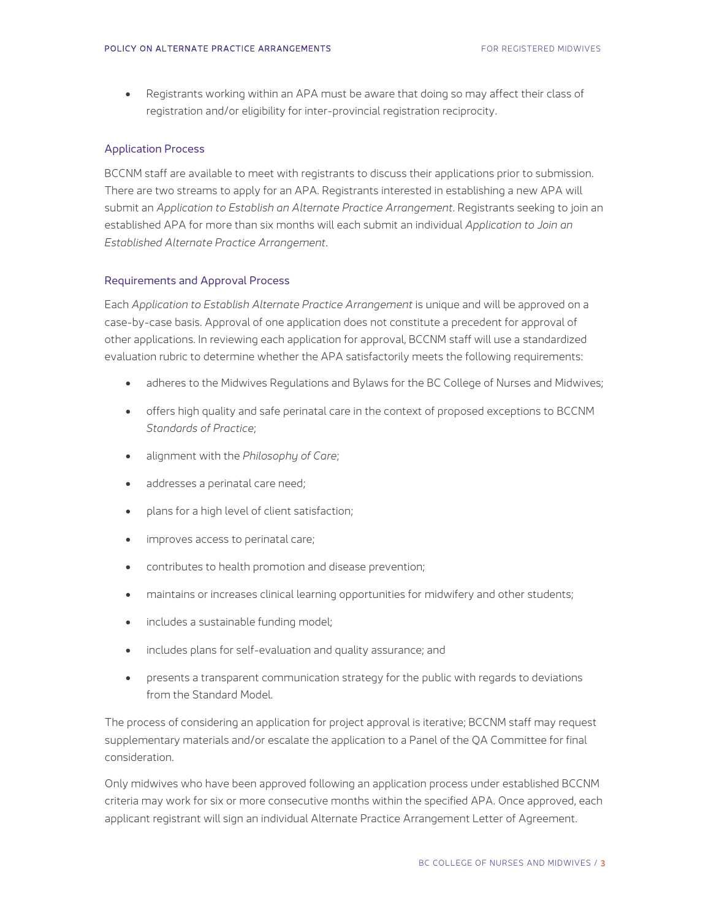• Registrants working within an APA must be aware that doing so may affect their class of registration and/or eligibility for inter-provincial registration reciprocity.

#### Application Process

BCCNM staff are available to meet with registrants to discuss their applications prior to submission. There are two streams to apply for an APA. Registrants interested in establishing a new APA will submit an *Application to Establish an Alternate Practice Arrangement*. Registrants seeking to join an established APA for more than six months will each submit an individual *Application to Join an Established Alternate Practice Arrangement*.

#### Requirements and Approval Process

Each *Application to Establish Alternate Practice Arrangement* is unique and will be approved on a case-by-case basis. Approval of one application does not constitute a precedent for approval of other applications. In reviewing each application for approval, BCCNM staff will use a standardized evaluation rubric to determine whether the APA satisfactorily meets the following requirements:

- adheres to the Midwives Regulations and Bylaws for the BC College of Nurses and Midwives;
- offers high quality and safe perinatal care in the context of proposed exceptions to BCCNM *Standards of Practice*;
- alignment with the *Philosophy of Care*;
- addresses a perinatal care need;
- plans for a high level of client satisfaction;
- improves access to perinatal care;
- contributes to health promotion and disease prevention;
- maintains or increases clinical learning opportunities for midwifery and other students;
- includes a sustainable funding model;
- includes plans for self-evaluation and quality assurance; and
- presents a transparent communication strategy for the public with regards to deviations from the Standard Model.

The process of considering an application for project approval is iterative; BCCNM staff may request supplementary materials and/or escalate the application to a Panel of the QA Committee for final consideration.

Only midwives who have been approved following an application process under established BCCNM criteria may work for six or more consecutive months within the specified APA. Once approved, each applicant registrant will sign an individual Alternate Practice Arrangement Letter of Agreement.